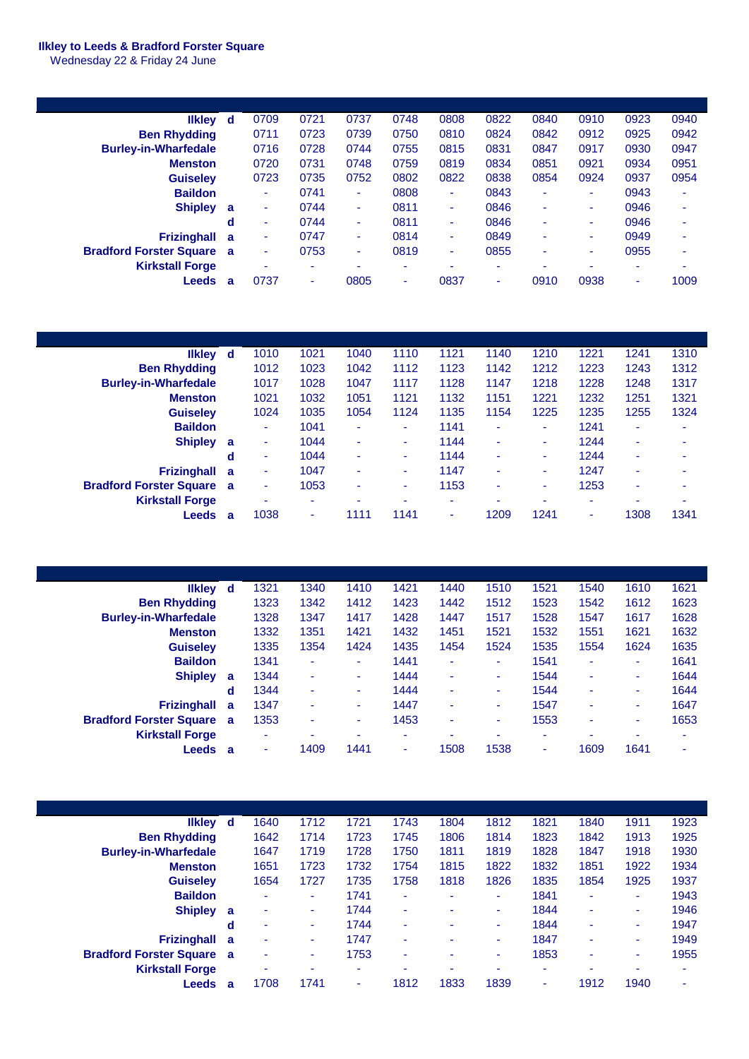## **Ilkley to Leeds & Bradford Forster Square**

Wednesday 22 & Friday 24 June

| d | 0709                     | 0721 | 0737                     | 0748 | 0808 | 0822                     | 0840 | 0910 | 0923 | 0940 |
|---|--------------------------|------|--------------------------|------|------|--------------------------|------|------|------|------|
|   | 0711                     | 0723 | 0739                     | 0750 | 0810 | 0824                     | 0842 | 0912 | 0925 | 0942 |
|   | 0716                     | 0728 | 0744                     | 0755 | 0815 | 0831                     | 0847 | 0917 | 0930 | 0947 |
|   | 0720                     | 0731 | 0748                     | 0759 | 0819 | 0834                     | 0851 | 0921 | 0934 | 0951 |
|   | 0723                     | 0735 | 0752                     | 0802 | 0822 | 0838                     | 0854 | 0924 | 0937 | 0954 |
|   | ٠                        | 0741 | ٠                        | 0808 | ۰    | 0843                     | ۰    | ۰    | 0943 | ٠    |
| a | ٠                        | 0744 | ٠                        | 0811 | ٠    | 0846                     |      | ٠    | 0946 | ۰    |
| d | $\overline{\phantom{a}}$ | 0744 | $\overline{\phantom{a}}$ | 0811 | ۰    | 0846                     |      | ۰    | 0946 | -    |
| a | ٠                        | 0747 | ٠                        | 0814 | ۰    | 0849                     | ۰    | ۰    | 0949 |      |
| a | ۰                        | 0753 | ٠                        | 0819 | ۰    | 0855                     |      | ۰    | 0955 | ۰    |
|   | ٠                        | ۰    | ۰                        | ۰    |      | $\overline{\phantom{a}}$ |      | -    | ۰    |      |
|   | 0737                     | ۰    | 0805                     | ۰    | 0837 | ۰                        | 0910 | 0938 | ۰    | 1009 |
|   | a                        |      |                          |      |      |                          |      |      |      |      |

| likley d                         |   | 1010 | 1021 | 1040 | 1110 | 1121 | 1140 | 1210 | 1221 | 1241                     | 1310 |
|----------------------------------|---|------|------|------|------|------|------|------|------|--------------------------|------|
| <b>Ben Rhydding</b>              |   | 1012 | 1023 | 1042 | 1112 | 1123 | 1142 | 1212 | 1223 | 1243                     | 1312 |
| <b>Burley-in-Wharfedale</b>      |   | 1017 | 1028 | 1047 | 1117 | 1128 | 1147 | 1218 | 1228 | 1248                     | 1317 |
| <b>Menston</b>                   |   | 1021 | 1032 | 1051 | 1121 | 1132 | 1151 | 1221 | 1232 | 1251                     | 1321 |
| <b>Guiseley</b>                  |   | 1024 | 1035 | 1054 | 1124 | 1135 | 1154 | 1225 | 1235 | 1255                     | 1324 |
| <b>Baildon</b>                   |   | ٠    | 1041 | ۰    | ٠    | 1141 | ٠    | ٠    | 1241 | ٠                        | ۰    |
| <b>Shipley</b>                   | a | ۰    | 1044 | ٠    | ٠    | 1144 | ۰    | ٠    | 1244 | $\overline{\phantom{a}}$ | ۰    |
|                                  | d | ۰    | 1044 | ۰    | ٠    | 1144 | ٠    | ٠    | 1244 | $\overline{\phantom{a}}$ | ۰    |
| <b>Frizinghall</b>               | a | ۰    | 1047 | ۰    | ٠    | 1147 | ٠    | ۰.   | 1247 | -                        | ۰    |
| <b>Bradford Forster Square a</b> |   | ۰    | 1053 | ۰    | ٠    | 1153 | ۰    | ۰    | 1253 | $\overline{\phantom{a}}$ | ۰    |
| <b>Kirkstall Forge</b>           |   | ۰    | ۰    | ۰    | ۰    | ۰    | ۰    |      | ۰    |                          | ۰    |
| Leeds                            | a | 1038 | ۰    | 1111 | 1141 | ۰    | 1209 | 1241 | ۰    | 1308                     | 1341 |

| <b>Ilkley</b>                    | ₫  | 1321 | 1340 | 1410   | 1421 | 1440 | 1510 | 1521                     | 1540 | 1610 | 1621           |
|----------------------------------|----|------|------|--------|------|------|------|--------------------------|------|------|----------------|
| <b>Ben Rhydding</b>              |    | 1323 | 1342 | 1412   | 1423 | 1442 | 1512 | 1523                     | 1542 | 1612 | 1623           |
| <b>Burley-in-Wharfedale</b>      |    | 1328 | 1347 | 1417   | 1428 | 1447 | 1517 | 1528                     | 1547 | 1617 | 1628           |
| <b>Menston</b>                   |    | 1332 | 1351 | 1421   | 1432 | 1451 | 1521 | 1532                     | 1551 | 1621 | 1632           |
| <b>Guiselev</b>                  |    | 1335 | 1354 | 1424   | 1435 | 1454 | 1524 | 1535                     | 1554 | 1624 | 1635           |
| <b>Baildon</b>                   |    | 1341 | ۰    | ٠      | 1441 | ۰    | ٠    | 1541                     | ۰    | ۰    | 1641           |
| <b>Shipley</b>                   | a  | 1344 | ۰    | ٠      | 1444 | ۰    | ٠    | 1544                     | ٠    | ۰    | 1644           |
|                                  | d  | 1344 | ۰    | ۰      | 1444 | ۰    | ۰    | 1544                     | ۰    | ۰    | 1644           |
| <b>Frizinghall</b>               | -a | 1347 | ٠    | $\sim$ | 1447 | ۰    | ٠    | 1547                     | ٠    | ٠    | 1647           |
| <b>Bradford Forster Square</b> a |    | 1353 | ۰    | $\sim$ | 1453 | ۰    | ٠    | 1553                     | ۰    | ٠    | 1653           |
| <b>Kirkstall Forge</b>           |    | ٠    | -    | ٠      | ٠    |      | ۰    | $\overline{\phantom{a}}$ | ۰    | ۰    | $\blacksquare$ |
| Leeds                            | a  |      | 1409 | 1441   | ۰    | 1508 | 1538 | $\overline{\phantom{a}}$ | 1609 | 1641 | $\blacksquare$ |

| <b>Ilkley</b>                    | ∣ d | 1640                     | 1712 | 1721 | 1743                     | 1804 | 1812 | 1821 | 1840     | 1911 | 1923 |
|----------------------------------|-----|--------------------------|------|------|--------------------------|------|------|------|----------|------|------|
| <b>Ben Rhydding</b>              |     | 1642                     | 1714 | 1723 | 1745                     | 1806 | 1814 | 1823 | 1842     | 1913 | 1925 |
| <b>Burley-in-Wharfedale</b>      |     | 1647                     | 1719 | 1728 | 1750                     | 1811 | 1819 | 1828 | 1847     | 1918 | 1930 |
| <b>Menston</b>                   |     | 1651                     | 1723 | 1732 | 1754                     | 1815 | 1822 | 1832 | 1851     | 1922 | 1934 |
| <b>Guiselev</b>                  |     | 1654                     | 1727 | 1735 | 1758                     | 1818 | 1826 | 1835 | 1854     | 1925 | 1937 |
| <b>Baildon</b>                   |     | ٠                        | ۰    | 1741 | $\overline{\phantom{a}}$ | ۰    | ۰    | 1841 | ٠        | ٠    | 1943 |
| <b>Shipley</b>                   | a   | ۰                        | ٠    | 1744 | ٠                        |      | ۰    | 1844 | ٠        | ٠    | 1946 |
|                                  | d   | ۰                        | ٠    | 1744 | $\blacksquare$           |      | ٠    | 1844 | <b>.</b> | ٠    | 1947 |
| Frizinghall a                    |     | $\overline{\phantom{a}}$ | ۰    | 1747 | $\blacksquare$           |      | ٠    | 1847 | ٠        | ٠    | 1949 |
| <b>Bradford Forster Square</b> a |     | ۰                        | ۰    | 1753 | $\overline{\phantom{a}}$ | ۰    | ٠    | 1853 | -        | ٠    | 1955 |
| <b>Kirkstall Forge</b>           |     | ۰                        | ۰    | ۰    | -                        | ۰    | ٠    | ۰    | -        | ۰    | ۰    |
| Leeds                            | a   | 1708                     | 1741 | ۰    | 1812                     | 1833 | 1839 | ٠    | 1912     | 1940 | ۰    |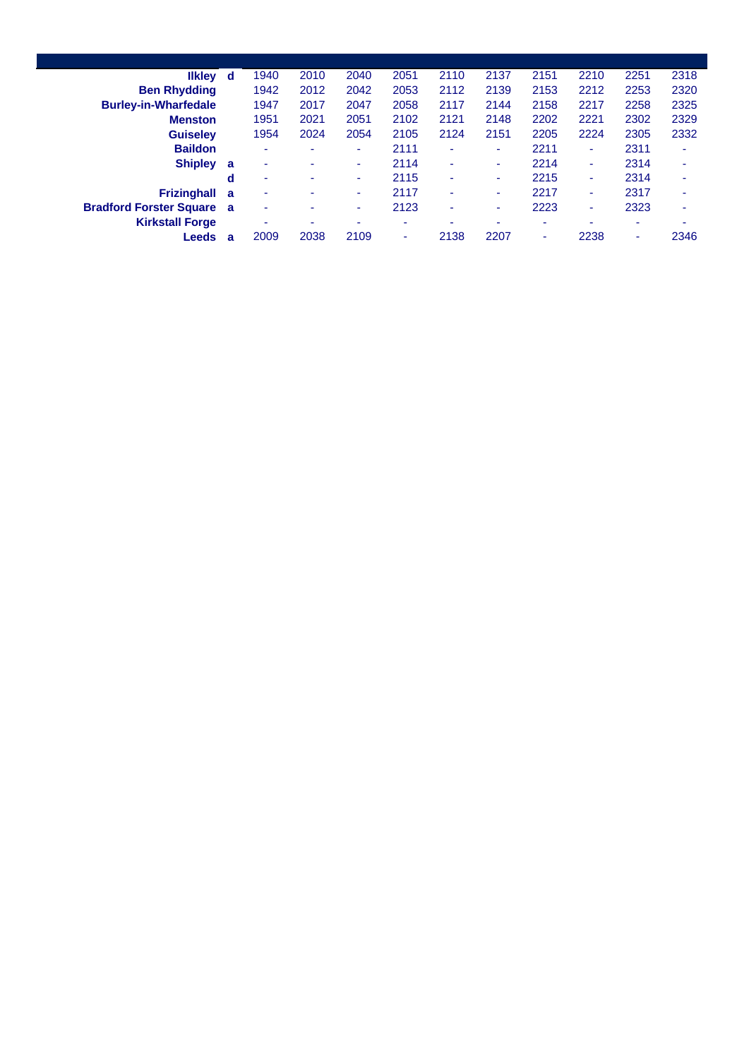| <b>Ilkley</b>                  | d        | 1940                     | 2010           | 2040                     | 2051 | 2110                     | 2137 | 2151 | 2210 | 2251                     | 2318 |
|--------------------------------|----------|--------------------------|----------------|--------------------------|------|--------------------------|------|------|------|--------------------------|------|
| <b>Ben Rhydding</b>            |          | 1942                     | 2012           | 2042                     | 2053 | 2112                     | 2139 | 2153 | 2212 | 2253                     | 2320 |
| <b>Burley-in-Wharfedale</b>    |          | 1947                     | 2017           | 2047                     | 2058 | 2117                     | 2144 | 2158 | 2217 | 2258                     | 2325 |
| <b>Menston</b>                 |          | 1951                     | 2021           | 2051                     | 2102 | 2121                     | 2148 | 2202 | 2221 | 2302                     | 2329 |
| <b>Guiselev</b>                |          | 1954                     | 2024           | 2054                     | 2105 | 2124                     | 2151 | 2205 | 2224 | 2305                     | 2332 |
| <b>Baildon</b>                 |          | ۰                        |                | $\overline{\phantom{0}}$ | 2111 | ۰                        | ۰    | 2211 | -    | 2311                     | ۰    |
| <b>Shipley</b>                 | a        | ۰                        | -              | ۰                        | 2114 | $\overline{\phantom{a}}$ |      | 2214 | ٠    | 2314                     | ۰    |
|                                | d        | $\overline{\phantom{a}}$ |                | ٠                        | 2115 | ٠                        | ۰    | 2215 | ۰    | 2314                     | ٠    |
| <b>Frizinghall</b>             | a        | $\overline{\phantom{a}}$ |                | ۰                        | 2117 | ۰                        | ۰    | 2217 | -    | 2317                     | ٠    |
| <b>Bradford Forster Square</b> | <b>a</b> | ٠                        |                | ۰                        | 2123 | ۰                        |      | 2223 | -    | 2323                     | ۰    |
| <b>Kirkstall Forge</b>         |          | -                        | $\blacksquare$ | ٠                        | ۰    | ۰                        | ۰    | ۰    | -    | $\overline{\phantom{a}}$ | ۰    |
| Leeds                          | a        | 2009                     | 2038           | 2109                     | ۰    | 2138                     | 2207 | ۰    | 2238 | ۰                        | 2346 |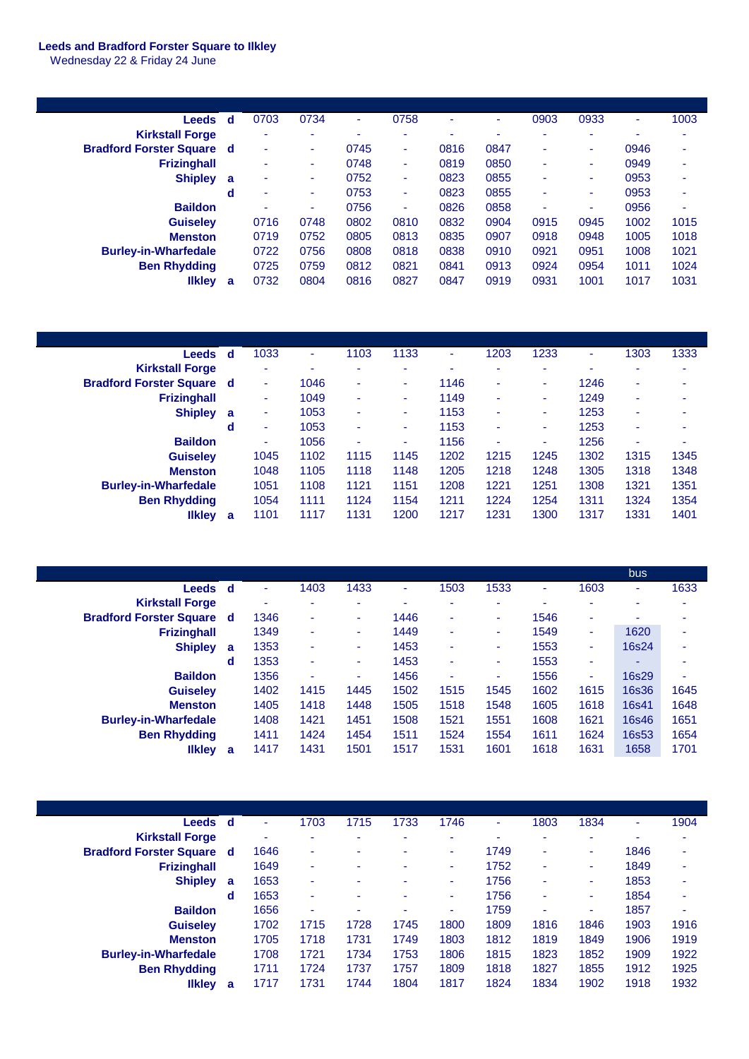## **Leeds and Bradford Forster Square to Ilkley**

Wednesday 22 & Friday 24 June

| Leeds                            | d | 0703                     | 0734 | ٠    | 0758 | ۰    | ٠    | 0903 | 0933   | ٠    | 1003 |
|----------------------------------|---|--------------------------|------|------|------|------|------|------|--------|------|------|
| <b>Kirkstall Forge</b>           |   | ٠                        | ۰    | ۰    | ۰    | ٠    | ٠    | ۰    | -      | ٠    | ۰    |
| <b>Bradford Forster Square d</b> |   | ٠                        |      | 0745 | -    | 0816 | 0847 | ۰    | ۰      | 0946 | ۰    |
| <b>Frizinghall</b>               |   | ۰                        | ٠    | 0748 | ۰    | 0819 | 0850 | ۰    | ۰      | 0949 | ٠    |
| <b>Shipley</b>                   | a | $\overline{\phantom{a}}$ | ۰.   | 0752 | ۰    | 0823 | 0855 | ۰    | $\sim$ | 0953 | ۰    |
|                                  | d | ٠                        | ۰    | 0753 | ٠    | 0823 | 0855 |      | ٠      | 0953 | ۰    |
| <b>Baildon</b>                   |   | ۰                        |      | 0756 | ۰    | 0826 | 0858 | ۰    | ۰      | 0956 | ۰    |
| <b>Guiseley</b>                  |   | 0716                     | 0748 | 0802 | 0810 | 0832 | 0904 | 0915 | 0945   | 1002 | 1015 |
| <b>Menston</b>                   |   | 0719                     | 0752 | 0805 | 0813 | 0835 | 0907 | 0918 | 0948   | 1005 | 1018 |
| <b>Burley-in-Wharfedale</b>      |   | 0722                     | 0756 | 0808 | 0818 | 0838 | 0910 | 0921 | 0951   | 1008 | 1021 |
| <b>Ben Rhydding</b>              |   | 0725                     | 0759 | 0812 | 0821 | 0841 | 0913 | 0924 | 0954   | 1011 | 1024 |
| <b>Ilkley</b>                    | a | 0732                     | 0804 | 0816 | 0827 | 0847 | 0919 | 0931 | 1001   | 1017 | 1031 |
|                                  |   |                          |      |      |      |      |      |      |        |      |      |

| <b>Leeds</b>                     | <b>d</b> | 1033 | ٠    | 1103   | 1133 | ۰    | 1203 | 1233 | ۰    | 1303                     | 1333 |
|----------------------------------|----------|------|------|--------|------|------|------|------|------|--------------------------|------|
| <b>Kirkstall Forge</b>           |          |      | -    | -      | ٠    | -    | -    | ۰    | -    | -                        | -    |
| <b>Bradford Forster Square d</b> |          | ۰    | 1046 | ٠      | ۰    | 1146 | ۰    | ۰.   | 1246 | $\overline{\phantom{a}}$ | ۰    |
| <b>Frizinghall</b>               |          | ۰    | 1049 | ۰.     | ۰    | 1149 | ۰    | ۰.   | 1249 | $\overline{\phantom{a}}$ | ۰    |
| <b>Shipley</b>                   | a        | ۰    | 1053 | $\sim$ | ۰    | 1153 | ۰    | ۰.   | 1253 | $\overline{\phantom{a}}$ | -    |
|                                  | d        | ۰    | 1053 | ٠      | ٠    | 1153 | ۰    | ۰.   | 1253 | $\overline{\phantom{a}}$ | ۰    |
| <b>Baildon</b>                   |          | ٠    | 1056 | ۰      | ۰    | 1156 | ۰    | ٠    | 1256 | $\overline{\phantom{a}}$ | ۰    |
| <b>Guiselev</b>                  |          | 1045 | 1102 | 1115   | 1145 | 1202 | 1215 | 1245 | 1302 | 1315                     | 1345 |
| <b>Menston</b>                   |          | 1048 | 1105 | 1118   | 1148 | 1205 | 1218 | 1248 | 1305 | 1318                     | 1348 |
| <b>Burley-in-Wharfedale</b>      |          | 1051 | 1108 | 1121   | 1151 | 1208 | 1221 | 1251 | 1308 | 1321                     | 1351 |
| <b>Ben Rhydding</b>              |          | 1054 | 1111 | 1124   | 1154 | 1211 | 1224 | 1254 | 1311 | 1324                     | 1354 |
| <b>Ilkley</b>                    | a        | 1101 | 1117 | 1131   | 1200 | 1217 | 1231 | 1300 | 1317 | 1331                     | 1401 |

|                                  |     |                          |      |      |      |      |      |      |                          | bus          |      |
|----------------------------------|-----|--------------------------|------|------|------|------|------|------|--------------------------|--------------|------|
| Leeds                            | ∣ d | $\overline{\phantom{a}}$ | 1403 | 1433 | ٠    | 1503 | 1533 | ۰    | 1603                     | ٠            | 1633 |
| <b>Kirkstall Forge</b>           |     | -                        | -    | ۰    | -    | ۰    | ۰    | ٠    | $\overline{\phantom{a}}$ |              |      |
| <b>Bradford Forster Square d</b> |     | 1346                     | ۰    | ۰    | 1446 | ٠    | ٠    | 1546 | ٠                        | ۰            |      |
| <b>Frizinghall</b>               |     | 1349                     | ٠    | ٠    | 1449 | ٠    | ٠    | 1549 | ٠                        | 1620         |      |
| <b>Shipley</b>                   | a   | 1353                     |      | ۰.   | 1453 | ٠    | ٠    | 1553 | ۰.                       | 16s24        |      |
|                                  | d   | 1353                     | ۰    | ۰.   | 1453 | ٠    | ٠    | 1553 | $\overline{\phantom{a}}$ |              |      |
| <b>Baildon</b>                   |     | 1356                     | ۰    | ۰    | 1456 | ۰    | ٠    | 1556 | ٠                        | 16s29        | ۰    |
| <b>Guiselev</b>                  |     | 1402                     | 1415 | 1445 | 1502 | 1515 | 1545 | 1602 | 1615                     | <b>16s36</b> | 1645 |
| <b>Menston</b>                   |     | 1405                     | 1418 | 1448 | 1505 | 1518 | 1548 | 1605 | 1618                     | 16s41        | 1648 |
| <b>Burley-in-Wharfedale</b>      |     | 1408                     | 1421 | 1451 | 1508 | 1521 | 1551 | 1608 | 1621                     | 16s46        | 1651 |
| <b>Ben Rhydding</b>              |     | 1411                     | 1424 | 1454 | 1511 | 1524 | 1554 | 1611 | 1624                     | 16s53        | 1654 |
| <b>Ilkley</b>                    | a   | 1417                     | 1431 | 1501 | 1517 | 1531 | 1601 | 1618 | 1631                     | 1658         | 1701 |

| Leeds d                          |   | ۰    | 1703 | 1715 | 1733 | 1746 | ۰    | 1803 | 1834 | ۰    | 1904 |
|----------------------------------|---|------|------|------|------|------|------|------|------|------|------|
| <b>Kirkstall Forge</b>           |   | ٠    | ۰    | ۰    | ۰    | ۰    | ٠    | ۰    | ۰    |      | ۰    |
| <b>Bradford Forster Square d</b> |   | 1646 | ۰    | -    | -    | ۰    | 1749 | ۰    |      | 1846 | ۰    |
| <b>Frizinghall</b>               |   | 1649 | ۰    | ۰    |      | ۰    | 1752 | ۰    | ۰    | 1849 | ۰    |
| <b>Shipley</b>                   | a | 1653 | ۰    | ٠    | ٠    | ۰    | 1756 | ۰    |      | 1853 | ۰    |
|                                  | d | 1653 | ۰    | ۰    |      | ۰    | 1756 | ۰    |      | 1854 | ۰    |
| <b>Baildon</b>                   |   | 1656 | ۰    | ۰    | ٠    | ۰    | 1759 | ۰    |      | 1857 | ۰    |
| <b>Guiseley</b>                  |   | 1702 | 1715 | 1728 | 1745 | 1800 | 1809 | 1816 | 1846 | 1903 | 1916 |
| <b>Menston</b>                   |   | 1705 | 1718 | 1731 | 1749 | 1803 | 1812 | 1819 | 1849 | 1906 | 1919 |
| <b>Burley-in-Wharfedale</b>      |   | 1708 | 1721 | 1734 | 1753 | 1806 | 1815 | 1823 | 1852 | 1909 | 1922 |
| <b>Ben Rhydding</b>              |   | 1711 | 1724 | 1737 | 1757 | 1809 | 1818 | 1827 | 1855 | 1912 | 1925 |
| <b>Ilkley</b>                    | a | 1717 | 1731 | 1744 | 1804 | 1817 | 1824 | 1834 | 1902 | 1918 | 1932 |